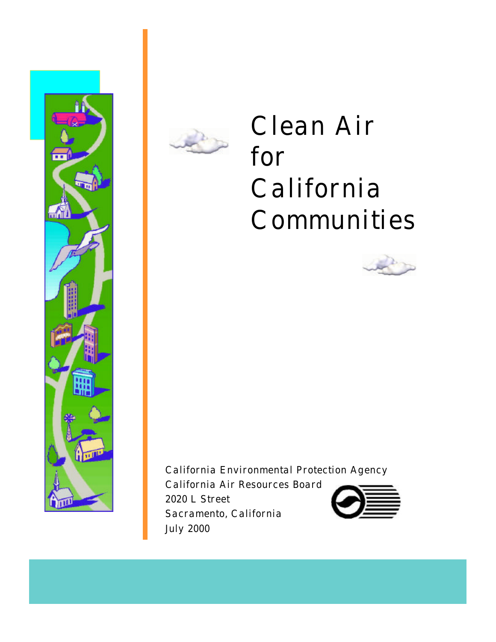



# Clean Air for California Communities



California Environmental Protection Agency

California Air Resources Board 2020 L Street Sacramento, California July 2000

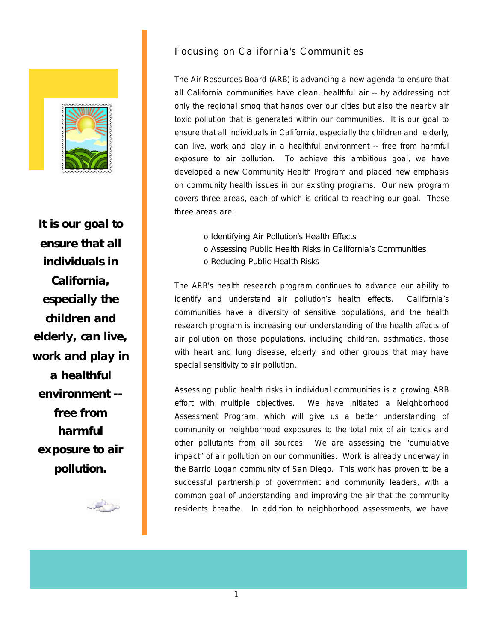

**It is our goal to ensure that all individuals in California, especially the children and elderly, can live, work and play in a healthful environment - free from harmful exposure to air pollution.** 

سرائجه

### Focusing on California's Communities

The Air Resources Board (ARB) is advancing a new agenda to ensure that all California communities have clean, healthful air -- by addressing not only the regional smog that hangs over our cities but also the nearby air toxic pollution that is generated within our communities. It is our goal to ensure that all individuals in California, especially the children and elderly, can live, work and play in a healthful environment -- free from harmful exposure to air pollution. To achieve this ambitious goal, we have developed a new Community Health Program and placed new emphasis on community health issues in our existing programs. Our new program covers three areas, each of which is critical to reaching our goal. These three areas are:

> o *Identifying Air Pollution's Health Effects* o *Assessing Public Health Risks in California's Communities* o *Reducing Public Health Risks*

The ARB's health research program continues to advance our ability to identify and understand air pollution's health effects. California's communities have a diversity of sensitive populations, and the health research program is increasing our understanding of the health effects of air pollution on those populations, including children, asthmatics, those with heart and lung disease, elderly, and other groups that may have special sensitivity to air pollution.

Assessing public health risks in individual communities is a growing ARB effort with multiple objectives. We have initiated a Neighborhood Assessment Program, which will give us a better understanding of community or neighborhood exposures to the total mix of air toxics and other pollutants from all sources. We are assessing the "cumulative impact" of air pollution on our communities. Work is already underway in the Barrio Logan community of San Diego. This work has proven to be a successful partnership of government and community leaders, with a common goal of understanding and improving the air that the community residents breathe. In addition to neighborhood assessments, we have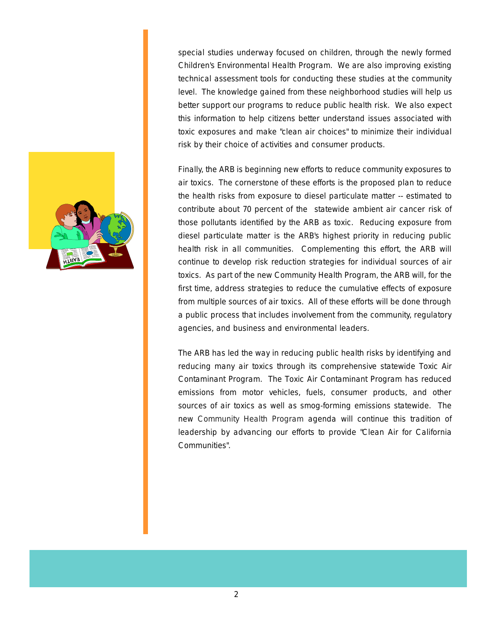

special studies underway focused on children, through the newly formed Children's Environmental Health Program. We are also improving existing technical assessment tools for conducting these studies at the community level. The knowledge gained from these neighborhood studies will help us better support our programs to reduce public health risk. We also expect this information to help citizens better understand issues associated with toxic exposures and make "clean air choices" to minimize their individual risk by their choice of activities and consumer products.

Finally, the ARB is beginning new efforts to reduce community exposures to air toxics. The cornerstone of these efforts is the proposed plan to reduce the health risks from exposure to diesel particulate matter -- estimated to contribute about 70 percent of the statewide ambient air cancer risk of those pollutants identified by the ARB as toxic. Reducing exposure from diesel particulate matter is the ARB's highest priority in reducing public health risk in all communities. Complementing this effort, the ARB will continue to develop risk reduction strategies for individual sources of air toxics. As part of the new Community Health Program, the ARB will, for the first time, address strategies to reduce the cumulative effects of exposure from multiple sources of air toxics. All of these efforts will be done through a public process that includes involvement from the community, regulatory agencies, and business and environmental leaders.

The ARB has led the way in reducing public health risks by identifying and reducing many air toxics through its comprehensive statewide Toxic Air Contaminant Program. The Toxic Air Contaminant Program has reduced emissions from motor vehicles, fuels, consumer products, and other sources of air toxics as well as smog-forming emissions statewide. The new Community Health Program agenda will continue this tradition of leadership by advancing our efforts to provide "Clean Air for California Communities".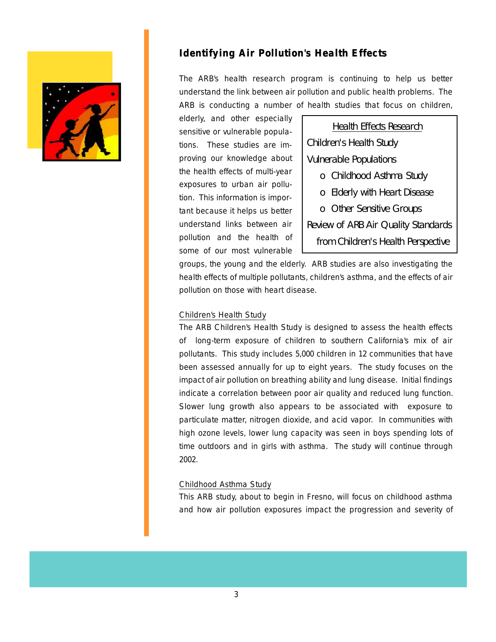

# **Identifying Air Pollution's Health Effects**

The ARB's health research program is continuing to help us better understand the link between air pollution and public health problems. The ARB is conducting a number of health studies that focus on children,

elderly, and other especially tions. These studies are im- *Children's Health Study*  proving our knowledge about *Vulnerable Populations*  exposures to urban air pollusome of our most vulnerable

sensitive or vulnerable popula-<br>
Health Effects Research the health effects of multi-year *o Childhood Asthma Study o Elderly with Heart Disease* tion. This information is important because it helps us better **0** Other Sensitive Groups understand links between air *Review of ARB Air Quality Standards*  pollution and the health of *from Children's Health Perspective*

groups, the young and the elderly. ARB studies are also investigating the health effects of multiple pollutants, children's asthma, and the effects of air pollution on those with heart disease.

#### Children's Health Study

The ARB Children's Health Study is designed to assess the health effects of long-term exposure of children to southern California's mix of air pollutants. This study includes 5,000 children in 12 communities that have been assessed annually for up to eight years. The study focuses on the impact of air pollution on breathing ability and lung disease. Initial findings indicate a correlation between poor air quality and reduced lung function. Slower lung growth also appears to be associated with exposure to particulate matter, nitrogen dioxide, and acid vapor. In communities with high ozone levels, lower lung capacity was seen in boys spending lots of time outdoors and in girls with asthma. The study will continue through 2002.

#### Childhood Asthma Study

This ARB study, about to begin in Fresno, will focus on childhood asthma and how air pollution exposures impact the progression and severity of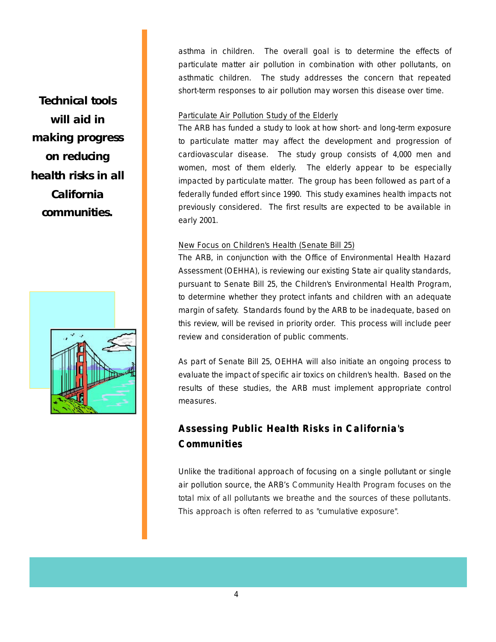asthma in children. The overall goal is to determine the effects of particulate matter air pollution in combination with other pollutants, on asthmatic children. The study addresses the concern that repeated short-term responses to air pollution may worsen this disease over time.

#### Particulate Air Pollution Study of the Elderly

The ARB has funded a study to look at how short- and long-term exposure to particulate matter may affect the development and progression of cardiovascular disease. The study group consists of 4,000 men and women, most of them elderly. The elderly appear to be especially impacted by particulate matter. The group has been followed as part of a federally funded effort since 1990. This study examines health impacts not previously considered. The first results are expected to be available in early 2001.

#### New Focus on Children's Health (Senate Bill 25)

pursuant to Senate Bill 25, the Children's Environmental Health Program, The ARB, in conjunction with the Office of Environmental Health Hazard Assessment (OEHHA), is reviewing our existing State air quality standards, to determine whether they protect infants and children with an adequate margin of safety. Standards found by the ARB to be inadequate, based on this review, will be revised in priority order. This process will include peer review and consideration of public comments.

As part of Senate Bill 25, OEHHA will also initiate an ongoing process to evaluate the impact of specific air toxics on children's health. Based on the results of these studies, the ARB must implement appropriate control measures.

# **Assessing Public Health Risks in California's Communities Communities**

Unlike the traditional approach of focusing on a single pollutant or single air pollution source, the ARB's Community Health Program focuses on the total mix of all pollutants we breathe and the sources of these pollutants. This approach is often referred to as "cumulative exposure".

**Technical tools will aid in making progress on reducing health risks in all California communities.** 

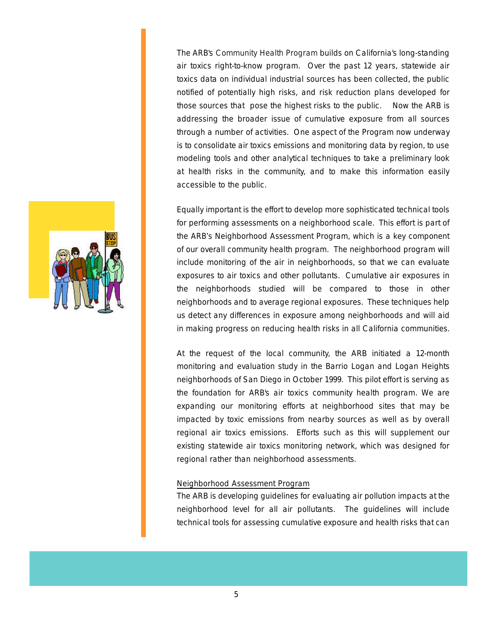The ARB's Community Health Program builds on California's long-standing air toxics right-to-know program. Over the past 12 years, statewide air toxics data on individual industrial sources has been collected, the public notified of potentially high risks, and risk reduction plans developed for those sources that pose the highest risks to the public. Now the ARB is addressing the broader issue of cumulative exposure from all sources through a number of activities. One aspect of the Program now underway is to consolidate air toxics emissions and monitoring data by region, to use modeling tools and other analytical techniques to take a preliminary look at health risks in the community, and to make this information easily accessible to the public.

Equally important is the effort to develop more sophisticated technical tools for performing assessments on a neighborhood scale. This effort is part of the ARB's Neighborhood Assessment Program, which is a key component of our overall community health program. The neighborhood program will include monitoring of the air in neighborhoods, so that we can evaluate exposures to air toxics and other pollutants. Cumulative air exposures in the neighborhoods studied will be compared to those in other neighborhoods and to average regional exposures. These techniques help us detect any differences in exposure among neighborhoods and will aid in making progress on reducing health risks in all California communities.

At the request of the local community, the ARB initiated a 12-month monitoring and evaluation study in the Barrio Logan and Logan Heights neighborhoods of San Diego in October 1999. This pilot effort is serving as the foundation for ARB's air toxics community health program. We are expanding our monitoring efforts at neighborhood sites that may be impacted by toxic emissions from nearby sources as well as by overall regional air toxics emissions. Efforts such as this will supplement our existing statewide air toxics monitoring network, which was designed for regional rather than neighborhood assessments.

#### Neighborhood Assessment Program

The ARB is developing guidelines for evaluating air pollution impacts at the neighborhood level for all air pollutants. The guidelines will include technical tools for assessing cumulative exposure and health risks that can

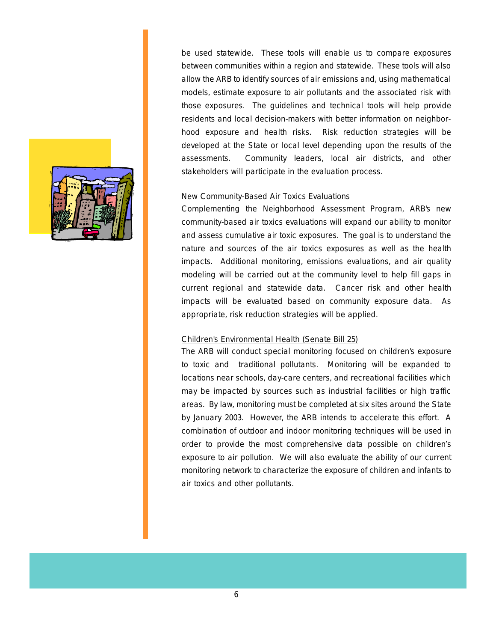

be used statewide. These tools will enable us to compare exposures between communities within a region and statewide. These tools will also allow the ARB to identify sources of air emissions and, using mathematical models, estimate exposure to air pollutants and the associated risk with those exposures. The guidelines and technical tools will help provide residents and local decision-makers with better information on neighborhood exposure and health risks. Risk reduction strategies will be developed at the State or local level depending upon the results of the assessments. Community leaders, local air districts, and other stakeholders will participate in the evaluation process.

#### New Community-Based Air Toxics Evaluations

Complementing the Neighborhood Assessment Program, ARB's new community-based air toxics evaluations will expand our ability to monitor and assess cumulative air toxic exposures. The goal is to understand the nature and sources of the air toxics exposures as well as the health impacts. Additional monitoring, emissions evaluations, and air quality modeling will be carried out at the community level to help fill gaps in current regional and statewide data. Cancer risk and other health impacts will be evaluated based on community exposure data. As appropriate, risk reduction strategies will be applied.

#### Children's Environmental Health (Senate Bill 25)

The ARB will conduct special monitoring focused on children's exposure to toxic and traditional pollutants. Monitoring will be expanded to locations near schools, day-care centers, and recreational facilities which may be impacted by sources such as industrial facilities or high traffic areas. By law, monitoring must be completed at six sites around the State by January 2003. However, the ARB intends to accelerate this effort. A combination of outdoor and indoor monitoring techniques will be used in order to provide the most comprehensive data possible on children's exposure to air pollution. We will also evaluate the ability of our current monitoring network to characterize the exposure of children and infants to air toxics and other pollutants.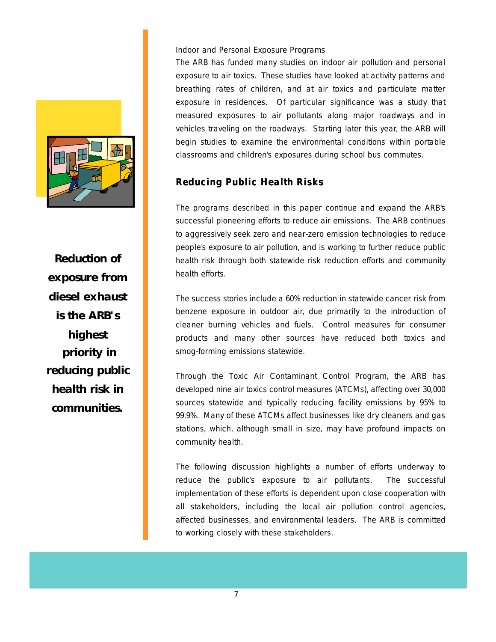

**Reduction of exposure from diesel exhaust is the ARB's highest priority in reducing public health risk in communities.** 

#### Indoor and Personal Exposure Programs

The ARB has funded many studies on indoor air pollution and personal exposure to air toxics. These studies have looked at activity patterns and breathing rates of children, and at air toxics and particulate matter exposure in residences. Of particular significance was a study that measured exposures to air pollutants along major roadways and in vehicles traveling on the roadways. Starting later this year, the ARB will begin studies to examine the environmental conditions within portable classrooms and children's exposures during school bus commutes.

# **Reducing Public Health Risks Risks**

The programs described in this paper continue and expand the ARB's successful pioneering efforts to reduce air emissions. The ARB continues to aggressively seek zero and near-zero emission technologies to reduce people's exposure to air pollution, and is working to further reduce public health risk through both statewide risk reduction efforts and community health efforts.

The success stories include a 60% reduction in statewide cancer risk from benzene exposure in outdoor air, due primarily to the introduction of cleaner burning vehicles and fuels. Control measures for consumer products and many other sources have reduced both toxics and smog-forming emissions statewide.

community health. Through the Toxic Air Contaminant Control Program, the ARB has developed nine air toxics control measures (ATCMs), affecting over 30,000 sources statewide and typically reducing facility emissions by 95% to 99.9%. Many of these ATCMs affect businesses like dry cleaners and gas stations, which, although small in size, may have profound impacts on

The following discussion highlights a number of efforts underway to reduce the public's exposure to air pollutants. The successful implementation of these efforts is dependent upon close cooperation with all stakeholders, including the local air pollution control agencies, affected businesses, and environmental leaders. The ARB is committed to working closely with these stakeholders.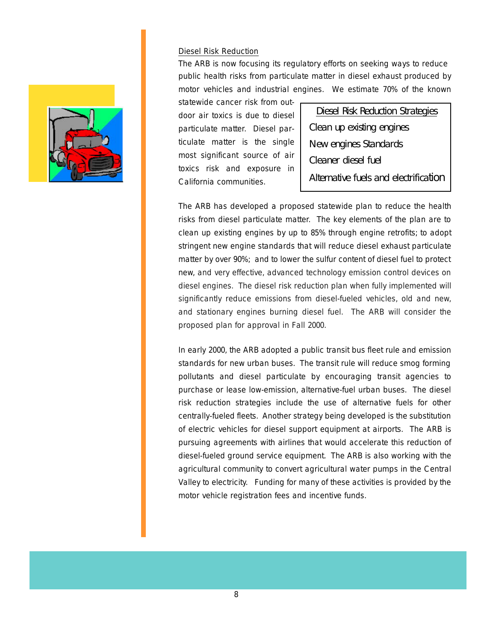#### Diesel Risk Reduction

The ARB is now focusing its regulatory efforts on seeking ways to reduce public health risks from particulate matter in diesel exhaust produced by motor vehicles and industrial engines. We estimate 70% of the known

statewide cancer risk from outdoor air toxics is due to diesel particulate matter. Diesel particulate matter is the single most significant source of air toxics risk and exposure in California communities.

Diesel Risk Reduction Strategies Clean up existing engines New engines Standards Cleaner diesel fuel Alternative fuels and electrification

The ARB has developed a proposed statewide plan to reduce the health risks from diesel particulate matter. The key elements of the plan are to clean up existing engines by up to 85% through engine retrofits; to adopt stringent new engine standards that will reduce diesel exhaust particulate matter by over 90%; and to lower the sulfur content of diesel fuel to protect new, and very effective, advanced technology emission control devices on diesel engines. The diesel risk reduction plan when fully implemented will significantly reduce emissions from diesel-fueled vehicles, old and new, and stationary engines burning diesel fuel. The ARB will consider the proposed plan for approval in Fall 2000.

In early 2000, the ARB adopted a public transit bus fleet rule and emission standards for new urban buses. The transit rule will reduce smog forming pollutants and diesel particulate by encouraging transit agencies to purchase or lease low-emission, alternative-fuel urban buses. The diesel risk reduction strategies include the use of alternative fuels for other centrally-fueled fleets. Another strategy being developed is the substitution of electric vehicles for diesel support equipment at airports. The ARB is pursuing agreements with airlines that would accelerate this reduction of diesel-fueled ground service equipment. The ARB is also working with the agricultural community to convert agricultural water pumps in the Central Valley to electricity. Funding for many of these activities is provided by the motor vehicle registration fees and incentive funds.

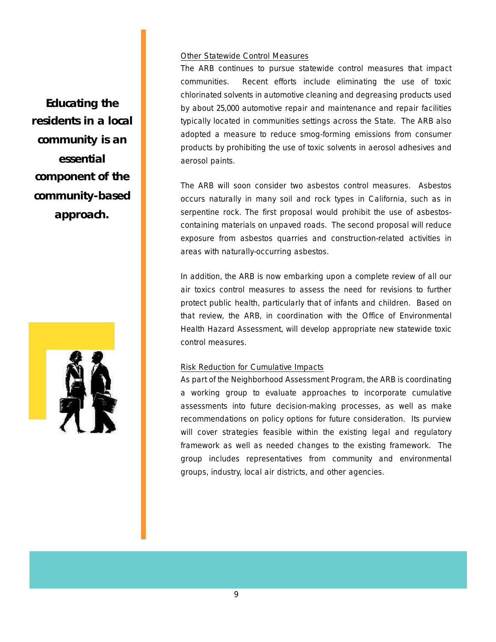#### Other Statewide Control Measures

The ARB continues to pursue statewide control measures that impact communities. Recent efforts include eliminating the use of toxic chlorinated solvents in automotive cleaning and degreasing products used by about 25,000 automotive repair and maintenance and repair facilities typically located in communities settings across the State. The ARB also adopted a measure to reduce smog-forming emissions from consumer products by prohibiting the use of toxic solvents in aerosol adhesives and aerosol paints.

The ARB will soon consider two asbestos control measures. Asbestos occurs naturally in many soil and rock types in California, such as in serpentine rock. The first proposal would prohibit the use of asbestoscontaining materials on unpaved roads. The second proposal will reduce exposure from asbestos quarries and construction-related activities in areas with naturally-occurring asbestos.

In addition, the ARB is now embarking upon a complete review of all our air toxics control measures to assess the need for revisions to further protect public health, particularly that of infants and children. Based on that review, the ARB, in coordination with the Office of Environmental Health Hazard Assessment, will develop appropriate new statewide toxic control measures.

#### Risk Reduction for Cumulative Impacts

As part of the Neighborhood Assessment Program, the ARB is coordinating a working group to evaluate approaches to incorporate cumulative assessments into future decision-making processes, as well as make recommendations on policy options for future consideration. Its purview will cover strategies feasible within the existing legal and regulatory framework as well as needed changes to the existing framework. The group includes representatives from community and environmental groups, industry, local air districts, and other agencies.

**Educating the residents in a local community is an essential component of the community-based approach.** 

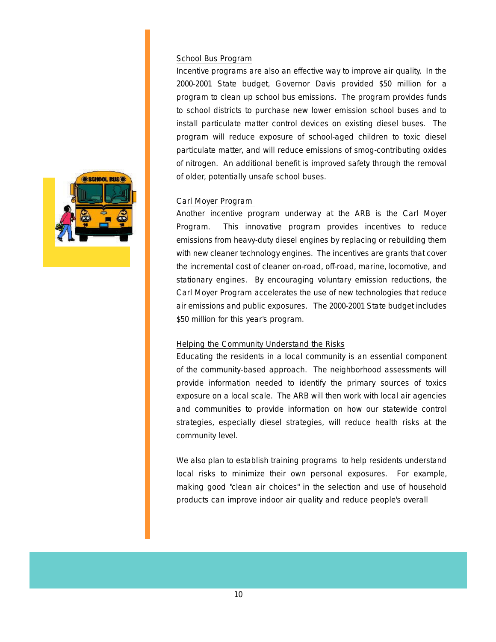#### School Bus Program

Incentive programs are also an effective way to improve air quality. In the 2000-2001 State budget, Governor Davis provided \$50 million for a program to clean up school bus emissions. The program provides funds to school districts to purchase new lower emission school buses and to install particulate matter control devices on existing diesel buses. The program will reduce exposure of school-aged children to toxic diesel particulate matter, and will reduce emissions of smog-contributing oxides of nitrogen. An additional benefit is improved safety through the removal of older, potentially unsafe school buses.

#### Carl Moyer Program

Another incentive program underway at the ARB is the Carl Moyer Program. This innovative program provides incentives to reduce emissions from heavy-duty diesel engines by replacing or rebuilding them with new cleaner technology engines. The incentives are grants that cover the incremental cost of cleaner on-road, off-road, marine, locomotive, and stationary engines. By encouraging voluntary emission reductions, the Carl Moyer Program accelerates the use of new technologies that reduce air emissions and public exposures. The 2000-2001 State budget includes \$50 million for this year's program.

#### Helping the Community Understand the Risks

Educating the residents in a local community is an essential component of the community-based approach. The neighborhood assessments will provide information needed to identify the primary sources of toxics exposure on a local scale. The ARB will then work with local air agencies and communities to provide information on how our statewide control strategies, especially diesel strategies, will reduce health risks at the community level.

We also plan to establish training programs to help residents understand local risks to minimize their own personal exposures. For example, making good "clean air choices" in the selection and use of household products can improve indoor air quality and reduce people's overall